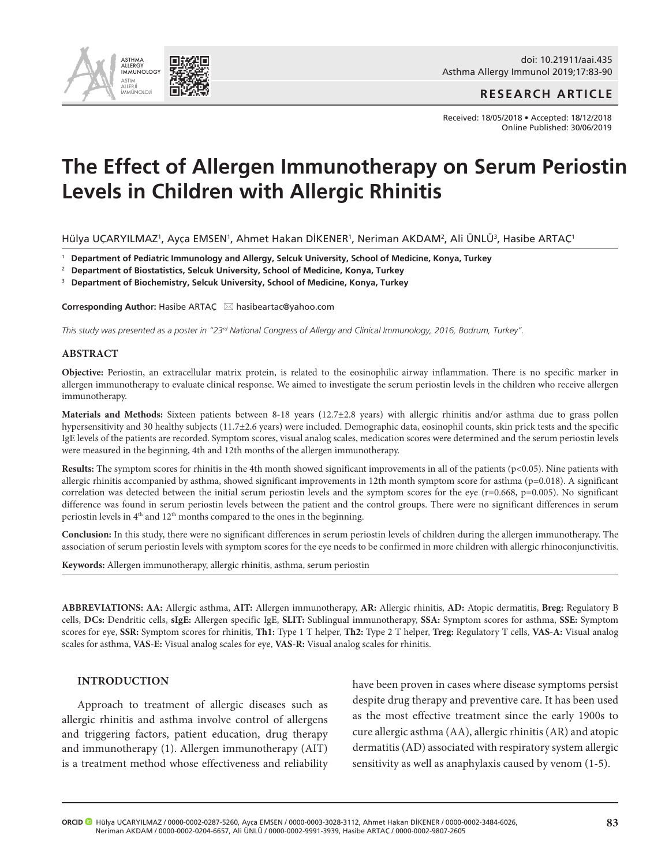

**RESEARCH ARTICLE**

Received: 18/05/2018 • Accepted: 18/12/2018 Online Published: 30/06/2019

# **The Effect of Allergen Immunotherapy on Serum Periostin Levels in Children with Allergic Rhinitis**

Hülya UÇARYILMAZ', Ayça EMSEN', Ahmet Hakan DİKENER', Neriman AKDAM', Ali ÜNLÜ', Hasibe ARTAÇ'

<sup>1</sup> **Department of Pediatric Immunology and Allergy, Selcuk University, School of Medicine, Konya, Turkey** 

<sup>2</sup> **Department of Biostatistics, Selcuk University, School of Medicine, Konya, Turkey** 

<sup>3</sup> **Department of Biochemistry, Selcuk University, School of Medicine, Konya, Turkey** 

**Corresponding Author:** Hasibe ARTAC ⊠ hasibeartac@yahoo.com

*This study was presented as a poster in "23rd National Congress of Allergy and Clinical Immunology, 2016, Bodrum, Turkey".* 

#### **ABSTRACT**

**Objective:** Periostin, an extracellular matrix protein, is related to the eosinophilic airway inflammation. There is no specific marker in allergen immunotherapy to evaluate clinical response. We aimed to investigate the serum periostin levels in the children who receive allergen immunotherapy.

**Materials and Methods:** Sixteen patients between 8-18 years (12.7±2.8 years) with allergic rhinitis and/or asthma due to grass pollen hypersensitivity and 30 healthy subjects (11.7±2.6 years) were included. Demographic data, eosinophil counts, skin prick tests and the specific IgE levels of the patients are recorded. Symptom scores, visual analog scales, medication scores were determined and the serum periostin levels were measured in the beginning, 4th and 12th months of the allergen immunotherapy.

**Results:** The symptom scores for rhinitis in the 4th month showed significant improvements in all of the patients (p<0.05). Nine patients with allergic rhinitis accompanied by asthma, showed significant improvements in 12th month symptom score for asthma (p=0.018). A significant correlation was detected between the initial serum periostin levels and the symptom scores for the eye ( $r=0.668$ ,  $p=0.005$ ). No significant difference was found in serum periostin levels between the patient and the control groups. There were no significant differences in serum periostin levels in  $4<sup>th</sup>$  and  $12<sup>th</sup>$  months compared to the ones in the beginning.

**Conclusion:** In this study, there were no significant differences in serum periostin levels of children during the allergen immunotherapy. The association of serum periostin levels with symptom scores for the eye needs to be confirmed in more children with allergic rhinoconjunctivitis.

**Keywords:** Allergen immunotherapy, allergic rhinitis, asthma, serum periostin

**ABBREVIATIONS: AA:** Allergic asthma, **AIT:** Allergen immunotherapy, **AR:** Allergic rhinitis, **AD:** Atopic dermatitis, **Breg:** Regulatory B cells, **DCs:** Dendritic cells, **sIgE:** Allergen specific IgE, **SLIT:** Sublingual immunotherapy, **SSA:** Symptom scores for asthma, **SSE:** Symptom scores for eye, **SSR:** Symptom scores for rhinitis, **Th1:** Type 1 T helper, **Th2:** Type 2 T helper, **Treg:** Regulatory T cells, **VAS-A:** Visual analog scales for asthma, **VAS-E:** Visual analog scales for eye, **VAS-R:** Visual analog scales for rhinitis.

#### **INTRODUCTION**

Approach to treatment of allergic diseases such as allergic rhinitis and asthma involve control of allergens and triggering factors, patient education, drug therapy and immunotherapy (1). Allergen immunotherapy (AIT) is a treatment method whose effectiveness and reliability have been proven in cases where disease symptoms persist despite drug therapy and preventive care. It has been used as the most effective treatment since the early 1900s to cure allergic asthma (AA), allergic rhinitis (AR) and atopic dermatitis (AD) associated with respiratory system allergic sensitivity as well as anaphylaxis caused by venom (1-5).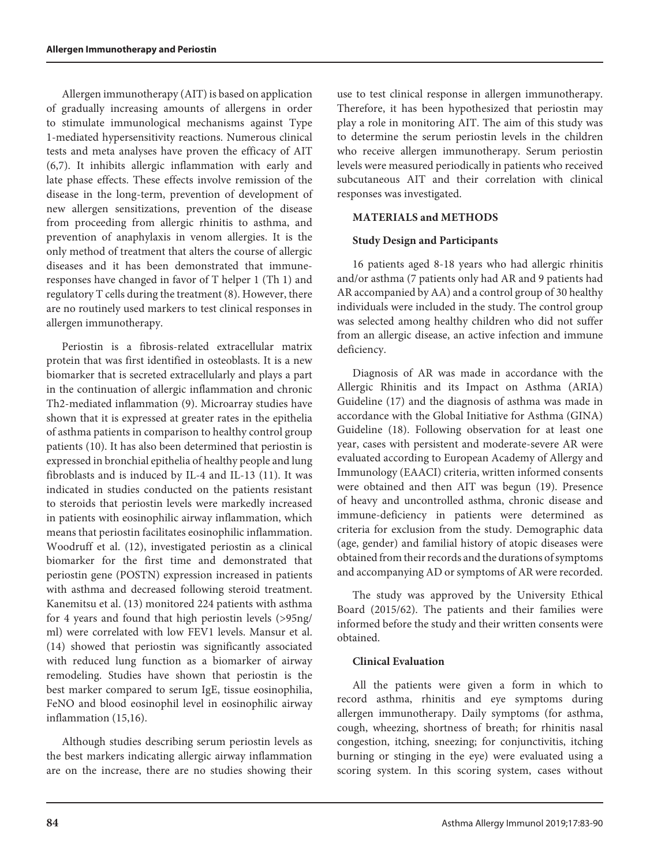Allergen immunotherapy (AIT) is based on application of gradually increasing amounts of allergens in order to stimulate immunological mechanisms against Type 1-mediated hypersensitivity reactions. Numerous clinical tests and meta analyses have proven the efficacy of AIT (6,7). It inhibits allergic inflammation with early and late phase effects. These effects involve remission of the disease in the long-term, prevention of development of new allergen sensitizations, prevention of the disease from proceeding from allergic rhinitis to asthma, and prevention of anaphylaxis in venom allergies. It is the only method of treatment that alters the course of allergic diseases and it has been demonstrated that immuneresponses have changed in favor of T helper 1 (Th 1) and regulatory T cells during the treatment (8). However, there are no routinely used markers to test clinical responses in allergen immunotherapy.

Periostin is a fibrosis-related extracellular matrix protein that was first identified in osteoblasts. It is a new biomarker that is secreted extracellularly and plays a part in the continuation of allergic inflammation and chronic Th2-mediated inflammation (9). Microarray studies have shown that it is expressed at greater rates in the epithelia of asthma patients in comparison to healthy control group patients (10). It has also been determined that periostin is expressed in bronchial epithelia of healthy people and lung fibroblasts and is induced by IL-4 and IL-13 (11). It was indicated in studies conducted on the patients resistant to steroids that periostin levels were markedly increased in patients with eosinophilic airway inflammation, which means that periostin facilitates eosinophilic inflammation. Woodruff et al. (12), investigated periostin as a clinical biomarker for the first time and demonstrated that periostin gene (POSTN) expression increased in patients with asthma and decreased following steroid treatment. Kanemitsu et al. (13) monitored 224 patients with asthma for 4 years and found that high periostin levels (>95ng/ ml) were correlated with low FEV1 levels. Mansur et al. (14) showed that periostin was significantly associated with reduced lung function as a biomarker of airway remodeling. Studies have shown that periostin is the best marker compared to serum IgE, tissue eosinophilia, FeNO and blood eosinophil level in eosinophilic airway inflammation (15,16).

Although studies describing serum periostin levels as the best markers indicating allergic airway inflammation are on the increase, there are no studies showing their

use to test clinical response in allergen immunotherapy. Therefore, it has been hypothesized that periostin may play a role in monitoring AIT. The aim of this study was to determine the serum periostin levels in the children who receive allergen immunotherapy. Serum periostin levels were measured periodically in patients who received subcutaneous AIT and their correlation with clinical responses was investigated.

### **MATERIALS and METHODS**

### **Study Design and Participants**

16 patients aged 8-18 years who had allergic rhinitis and/or asthma (7 patients only had AR and 9 patients had AR accompanied by AA) and a control group of 30 healthy individuals were included in the study. The control group was selected among healthy children who did not suffer from an allergic disease, an active infection and immune deficiency.

Diagnosis of AR was made in accordance with the Allergic Rhinitis and its Impact on Asthma (ARIA) Guideline (17) and the diagnosis of asthma was made in accordance with the Global Initiative for Asthma (GINA) Guideline (18). Following observation for at least one year, cases with persistent and moderate-severe AR were evaluated according to European Academy of Allergy and Immunology (EAACI) criteria, written informed consents were obtained and then AIT was begun (19). Presence of heavy and uncontrolled asthma, chronic disease and immune-deficiency in patients were determined as criteria for exclusion from the study. Demographic data (age, gender) and familial history of atopic diseases were obtained from their records and the durations of symptoms and accompanying AD or symptoms of AR were recorded.

The study was approved by the University Ethical Board (2015/62). The patients and their families were informed before the study and their written consents were obtained.

#### **Clinical Evaluation**

All the patients were given a form in which to record asthma, rhinitis and eye symptoms during allergen immunotherapy. Daily symptoms (for asthma, cough, wheezing, shortness of breath; for rhinitis nasal congestion, itching, sneezing; for conjunctivitis, itching burning or stinging in the eye) were evaluated using a scoring system. In this scoring system, cases without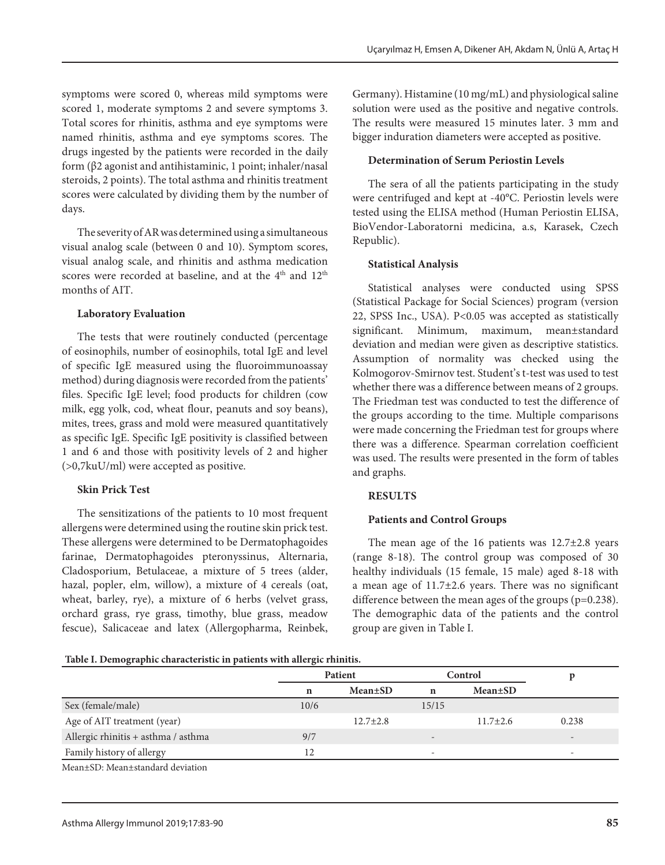symptoms were scored 0, whereas mild symptoms were scored 1, moderate symptoms 2 and severe symptoms 3. Total scores for rhinitis, asthma and eye symptoms were named rhinitis, asthma and eye symptoms scores. The drugs ingested by the patients were recorded in the daily form (β2 agonist and antihistaminic, 1 point; inhaler/nasal steroids, 2 points). The total asthma and rhinitis treatment scores were calculated by dividing them by the number of days.

The severity of AR was determined using a simultaneous visual analog scale (between 0 and 10). Symptom scores, visual analog scale, and rhinitis and asthma medication scores were recorded at baseline, and at the  $4<sup>th</sup>$  and  $12<sup>th</sup>$ months of AIT.

### **Laboratory Evaluation**

The tests that were routinely conducted (percentage of eosinophils, number of eosinophils, total IgE and level of specific IgE measured using the fluoroimmunoassay method) during diagnosis were recorded from the patients' files. Specific IgE level; food products for children (cow milk, egg yolk, cod, wheat flour, peanuts and soy beans), mites, trees, grass and mold were measured quantitatively as specific IgE. Specific IgE positivity is classified between 1 and 6 and those with positivity levels of 2 and higher (>0,7kuU/ml) were accepted as positive.

# **Skin Prick Test**

The sensitizations of the patients to 10 most frequent allergens were determined using the routine skin prick test. These allergens were determined to be Dermatophagoides farinae, Dermatophagoides pteronyssinus, Alternaria, Cladosporium, Betulaceae, a mixture of 5 trees (alder, hazal, popler, elm, willow), a mixture of 4 cereals (oat, wheat, barley, rye), a mixture of 6 herbs (velvet grass, orchard grass, rye grass, timothy, blue grass, meadow fescue), Salicaceae and latex (Allergopharma, Reinbek,

Germany). Histamine (10 mg/mL) and physiological saline solution were used as the positive and negative controls. The results were measured 15 minutes later. 3 mm and bigger induration diameters were accepted as positive.

# **Determination of Serum Periostin Levels**

The sera of all the patients participating in the study were centrifuged and kept at -40°C. Periostin levels were tested using the ELISA method (Human Periostin ELISA, BioVendor-Laboratorni medicina, a.s, Karasek, Czech Republic).

# **Statistical Analysis**

Statistical analyses were conducted using SPSS (Statistical Package for Social Sciences) program (version 22, SPSS Inc., USA). P<0.05 was accepted as statistically significant. Minimum, maximum, mean±standard deviation and median were given as descriptive statistics. Assumption of normality was checked using the Kolmogorov-Smirnov test. Student's t-test was used to test whether there was a difference between means of 2 groups. The Friedman test was conducted to test the difference of the groups according to the time. Multiple comparisons were made concerning the Friedman test for groups where there was a difference. Spearman correlation coefficient was used. The results were presented in the form of tables and graphs.

# **RESULTS**

# **Patients and Control Groups**

The mean age of the 16 patients was  $12.7\pm2.8$  years (range 8-18). The control group was composed of 30 healthy individuals (15 female, 15 male) aged 8-18 with a mean age of 11.7±2.6 years. There was no significant difference between the mean ages of the groups (p=0.238). The demographic data of the patients and the control group are given in Table I.

### **Table I. Demographic characteristic in patients with allergic rhinitis.**

|                                     |      | Patient        |                          | Control        |                          |
|-------------------------------------|------|----------------|--------------------------|----------------|--------------------------|
|                                     | n    | $Mean \pm SD$  | $\mathbf n$              | $Mean \pm SD$  |                          |
| Sex (female/male)                   | 10/6 |                | 15/15                    |                |                          |
| Age of AIT treatment (year)         |      | $12.7 \pm 2.8$ |                          | $11.7 \pm 2.6$ | 0.238                    |
| Allergic rhinitis + asthma / asthma | 9/7  |                | $\overline{\phantom{0}}$ |                | $-$                      |
| Family history of allergy           |      |                | -                        |                | $\overline{\phantom{a}}$ |
| Mean+SD: Mean+standard deviation    |      |                |                          |                |                          |

Mean±SD: Mean±standard deviation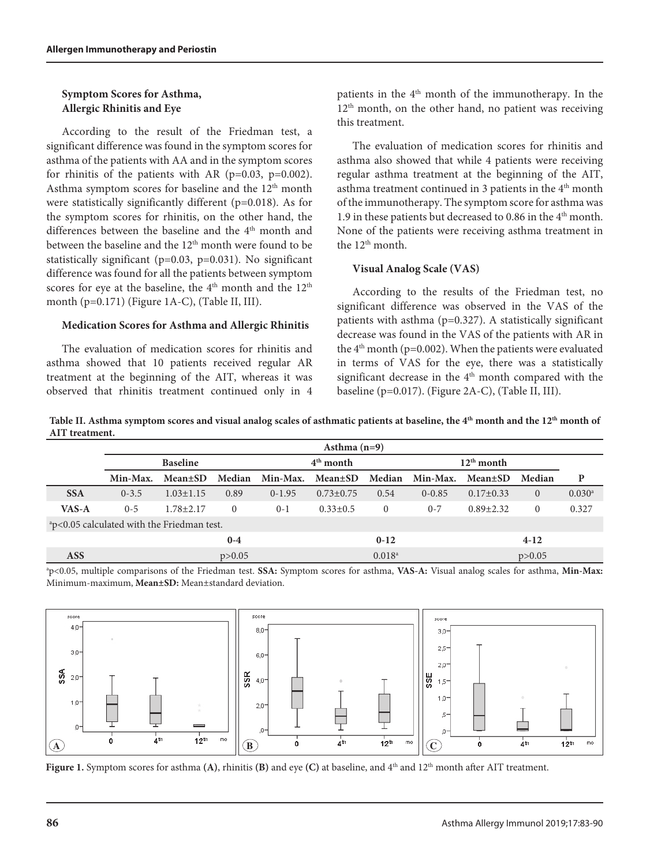#### **Symptom Scores for Asthma, Allergic Rhinitis and Eye**

According to the result of the Friedman test, a significant difference was found in the symptom scores for asthma of the patients with AA and in the symptom scores for rhinitis of the patients with AR ( $p=0.03$ ,  $p=0.002$ ). Asthma symptom scores for baseline and the 12<sup>th</sup> month were statistically significantly different (p=0.018). As for the symptom scores for rhinitis, on the other hand, the differences between the baseline and the 4<sup>th</sup> month and between the baseline and the 12<sup>th</sup> month were found to be statistically significant (p=0.03, p=0.031). No significant difference was found for all the patients between symptom scores for eye at the baseline, the  $4<sup>th</sup>$  month and the  $12<sup>th</sup>$ month (p=0.171) (Figure 1A-C), (Table II, III).

#### **Medication Scores for Asthma and Allergic Rhinitis**

The evaluation of medication scores for rhinitis and asthma showed that 10 patients received regular AR treatment at the beginning of the AIT, whereas it was observed that rhinitis treatment continued only in 4

patients in the  $4<sup>th</sup>$  month of the immunotherapy. In the 12<sup>th</sup> month, on the other hand, no patient was receiving this treatment.

The evaluation of medication scores for rhinitis and asthma also showed that while 4 patients were receiving regular asthma treatment at the beginning of the AIT, asthma treatment continued in 3 patients in the 4<sup>th</sup> month of the immunotherapy. The symptom score for asthma was 1.9 in these patients but decreased to 0.86 in the 4<sup>th</sup> month. None of the patients were receiving asthma treatment in the 12<sup>th</sup> month.

### **Visual Analog Scale (VAS)**

According to the results of the Friedman test, no significant difference was observed in the VAS of the patients with asthma  $(p=0.327)$ . A statistically significant decrease was found in the VAS of the patients with AR in the  $4<sup>th</sup>$  month (p=0.002). When the patients were evaluated in terms of VAS for the eye, there was a statistically significant decrease in the  $4<sup>th</sup>$  month compared with the baseline (p=0.017). (Figure 2A-C), (Table II, III).

| Table II. Asthma symptom scores and visual analog scales of asthmatic patients at baseline, the $4th$ month and the $12th$ month of |  |
|-------------------------------------------------------------------------------------------------------------------------------------|--|
| AIT treatment.                                                                                                                      |  |

|                                                        | Asthma $(n=9)$ |                 |          |             |                        |                 |              |                 |                |                      |
|--------------------------------------------------------|----------------|-----------------|----------|-------------|------------------------|-----------------|--------------|-----------------|----------------|----------------------|
|                                                        |                | <b>Baseline</b> |          | $4th$ month |                        |                 | $12th$ month |                 |                |                      |
|                                                        | Min-Max.       | $Mean \pm SD$   | Median   |             | Min-Max. Mean $\pm$ SD | Median          | Min-Max.     | <b>Mean</b> ±SD | Median         | P                    |
| <b>SSA</b>                                             | $0 - 3.5$      | $1.03 \pm 1.15$ | 0.89     | $0-1.95$    | $0.73 \pm 0.75$        | 0.54            | $0 - 0.85$   | $0.17 \pm 0.33$ | $\overline{0}$ | $0.030$ <sup>a</sup> |
| VAS-A                                                  | $0 - 5$        | $1.78 \pm 2.17$ | $\Omega$ | $0-1$       | $0.33 \pm 0.5$         | $\Omega$        | $0 - 7$      | $0.89 \pm 2.32$ | $\Omega$       | 0.327                |
| <sup>a</sup> p<0.05 calculated with the Friedman test. |                |                 |          |             |                        |                 |              |                 |                |                      |
|                                                        | $0 - 4$        |                 |          | $0-12$      |                        |                 | $4-12$       |                 |                |                      |
| <b>ASS</b>                                             | p > 0.05       |                 |          |             |                        | $0.018^{\rm a}$ |              | p > 0.05        |                |                      |

a p<0.05, multiple comparisons of the Friedman test. **SSA:** Symptom scores for asthma, **VAS-A:** Visual analog scales for asthma, **Min-Max:** Minimum-maximum, **Mean±SD:** Mean±standard deviation.



**Figure 1.** Symptom scores for asthma **(A)**, rhinitis **(B)** and eye **(C)** at baseline, and 4<sup>th</sup> and 12<sup>th</sup> month after AIT treatment.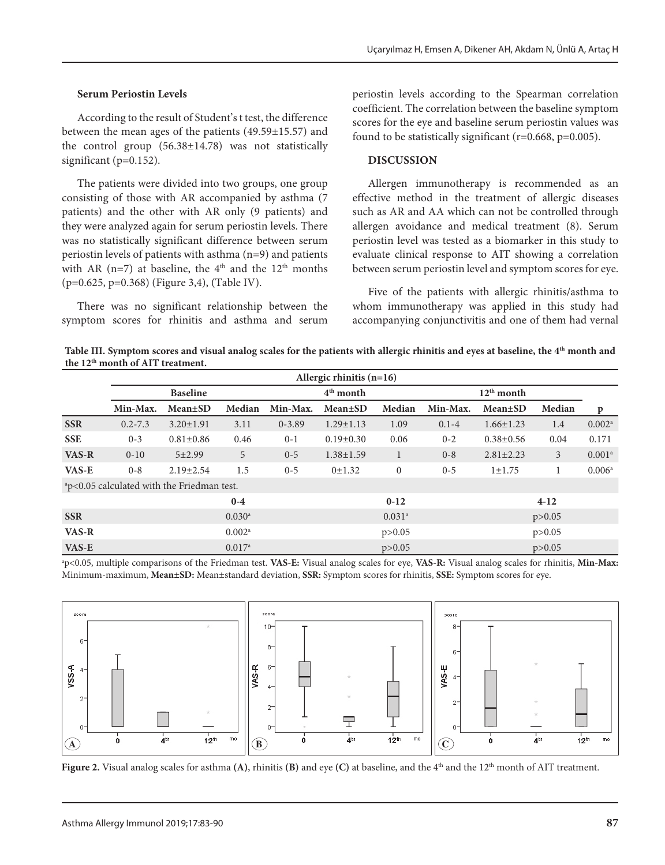### **Serum Periostin Levels**

According to the result of Student's t test, the difference between the mean ages of the patients (49.59±15.57) and the control group (56.38±14.78) was not statistically significant ( $p=0.152$ ).

The patients were divided into two groups, one group consisting of those with AR accompanied by asthma (7 patients) and the other with AR only (9 patients) and they were analyzed again for serum periostin levels. There was no statistically significant difference between serum periostin levels of patients with asthma (n=9) and patients with AR (n=7) at baseline, the  $4<sup>th</sup>$  and the 12<sup>th</sup> months (p=0.625, p=0.368) (Figure 3,4), (Table IV).

There was no significant relationship between the symptom scores for rhinitis and asthma and serum

periostin levels according to the Spearman correlation coefficient. The correlation between the baseline symptom scores for the eye and baseline serum periostin values was found to be statistically significant  $(r=0.668, p=0.005)$ .

### **DISCUSSION**

Allergen immunotherapy is recommended as an effective method in the treatment of allergic diseases such as AR and AA which can not be controlled through allergen avoidance and medical treatment (8). Serum periostin level was tested as a biomarker in this study to evaluate clinical response to AIT showing a correlation between serum periostin level and symptom scores for eye.

Five of the patients with allergic rhinitis/asthma to whom immunotherapy was applied in this study had accompanying conjunctivitis and one of them had vernal

Table III. Symptom scores and visual analog scales for the patients with allergic rhinitis and eyes at baseline, the 4<sup>th</sup> month and **the 12th month of AIT treatment.**

|                                                        | Allergic rhinitis $(n=16)$ |                 |        |             |                      |              |           |                 |        |                    |  |
|--------------------------------------------------------|----------------------------|-----------------|--------|-------------|----------------------|--------------|-----------|-----------------|--------|--------------------|--|
|                                                        | <b>Baseline</b>            |                 |        | $4th$ month |                      |              |           |                 |        |                    |  |
|                                                        | Min-Max.                   | <b>Mean</b> ±SD | Median | Min-Max.    | <b>Mean</b> ±SD      | Median       | Min-Max.  | <b>Mean</b> ±SD | Median | p                  |  |
| <b>SSR</b>                                             | $0.2 - 7.3$                | $3.20 \pm 1.91$ | 3.11   | $0 - 3.89$  | $1.29 \pm 1.13$      | 1.09         | $0.1 - 4$ | $1.66 \pm 1.23$ | 1.4    | 0.002 <sup>a</sup> |  |
| <b>SSE</b>                                             | $0 - 3$                    | $0.81 \pm 0.86$ | 0.46   | $0 - 1$     | $0.19 \pm 0.30$      | 0.06         | $0 - 2$   | $0.38 \pm 0.56$ | 0.04   | 0.171              |  |
| VAS-R                                                  | $0 - 10$                   | $5 + 2.99$      | 5      | $0 - 5$     | $1.38 \pm 1.59$      | $\mathbf{1}$ | $0 - 8$   | $2.81 \pm 2.23$ | 3      | 0.001 <sup>a</sup> |  |
| VAS-E                                                  | $0 - 8$                    | $2.19 \pm 2.54$ | 1.5    | $0 - 5$     | 0±1.32               | $\mathbf{0}$ | $0 - 5$   | $1 \pm 1.75$    |        | 0.006 <sup>a</sup> |  |
| <sup>a</sup> p<0.05 calculated with the Friedman test. |                            |                 |        |             |                      |              |           |                 |        |                    |  |
|                                                        |                            |                 | $0-4$  |             |                      | $0 - 12$     |           | $4 - 12$        |        |                    |  |
| <b>SSR</b>                                             |                            |                 |        |             | $0.031$ <sup>a</sup> | p > 0.05     |           |                 |        |                    |  |
| VAS-R                                                  | $0.002^{\rm a}$            |                 |        |             |                      | p > 0.05     | p > 0.05  |                 |        |                    |  |
| VAS-E                                                  |                            |                 |        | p > 0.05    |                      |              |           | p > 0.05        |        |                    |  |

a p<0.05, multiple comparisons of the Friedman test. **VAS-E:** Visual analog scales for eye, **VAS-R:** Visual analog scales for rhinitis, **Min-Max:** Minimum-maximum, **Mean±SD:** Mean±standard deviation, **SSR:** Symptom scores for rhinitis, **SSE:** Symptom scores for eye.



**Figure 2.** Visual analog scales for asthma **(A)**, rhinitis **(B)** and eye **(C)** at baseline, and the 4th and the 12th month of AIT treatment.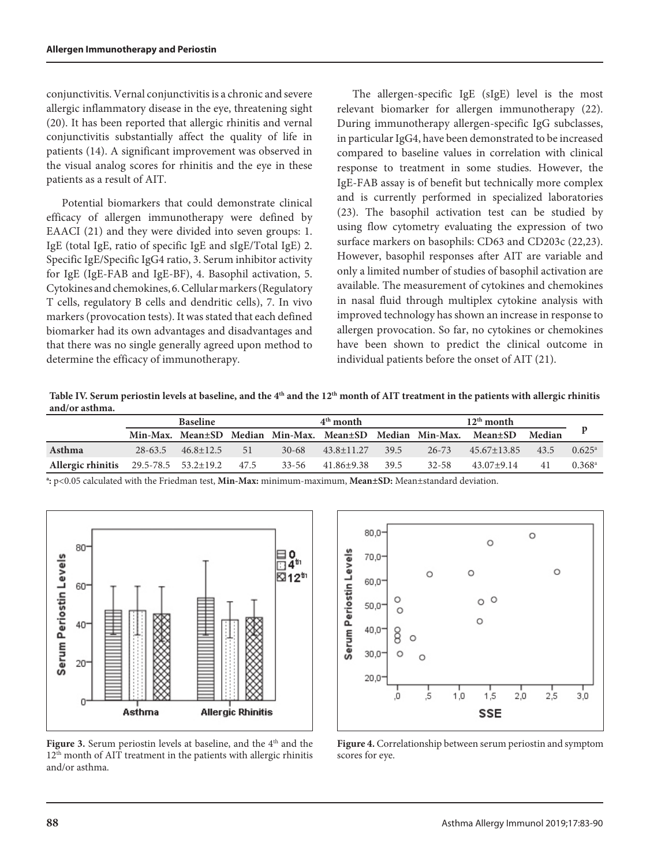conjunctivitis. Vernal conjunctivitis is a chronic and severe allergic inflammatory disease in the eye, threatening sight (20). It has been reported that allergic rhinitis and vernal conjunctivitis substantially affect the quality of life in patients (14). A significant improvement was observed in the visual analog scores for rhinitis and the eye in these patients as a result of AIT.

Potential biomarkers that could demonstrate clinical efficacy of allergen immunotherapy were defined by EAACI (21) and they were divided into seven groups: 1. IgE (total IgE, ratio of specific IgE and sIgE/Total IgE) 2. Specific IgE/Specific IgG4 ratio, 3. Serum inhibitor activity for IgE (IgE-FAB and IgE-BF), 4. Basophil activation, 5. Cytokines and chemokines, 6. Cellular markers (Regulatory T cells, regulatory B cells and dendritic cells), 7. In vivo markers (provocation tests). It was stated that each defined biomarker had its own advantages and disadvantages and that there was no single generally agreed upon method to determine the efficacy of immunotherapy.

The allergen-specific IgE (sIgE) level is the most relevant biomarker for allergen immunotherapy (22). During immunotherapy allergen-specific IgG subclasses, in particular IgG4, have been demonstrated to be increased compared to baseline values in correlation with clinical response to treatment in some studies. However, the IgE-FAB assay is of benefit but technically more complex and is currently performed in specialized laboratories (23). The basophil activation test can be studied by using flow cytometry evaluating the expression of two surface markers on basophils: CD63 and CD203c (22,23). However, basophil responses after AIT are variable and only a limited number of studies of basophil activation are available. The measurement of cytokines and chemokines in nasal fluid through multiplex cytokine analysis with improved technology has shown an increase in response to allergen provocation. So far, no cytokines or chemokines have been shown to predict the clinical outcome in individual patients before the onset of AIT (21).

Table IV. Serum periostin levels at baseline, and the 4<sup>th</sup> and the 12<sup>th</sup> month of AIT treatment in the patients with allergic rhinitis **and/or asthma.**

|                                            | <b>Baseline</b> |                           |     |           | $4th$ month    |      |           |                                                                         |      |                      |
|--------------------------------------------|-----------------|---------------------------|-----|-----------|----------------|------|-----------|-------------------------------------------------------------------------|------|----------------------|
|                                            |                 |                           |     |           |                |      |           | Min-Max. Mean±SD Median Min-Max. Mean±SD Median Min-Max. Mean±SD Median |      |                      |
| Asthma                                     |                 | $28-63.5$ $46.8 \pm 12.5$ | -51 | $30 - 68$ | $43.8 + 11.27$ | 39.5 | $26 - 73$ | $45.67 + 13.85$                                                         | 43.5 | $0.625^{\rm a}$      |
| Allergic rhinitis 29.5-78.5 53.2±19.2 47.5 |                 |                           |     | 33-56     | 41.86±9.38     | 39.5 | 32-58     | $43.07 \pm 9.14$                                                        | 41   | $0.368$ <sup>a</sup> |

**a :** p<0.05 calculated with the Friedman test, **Min-Max:** minimum-maximum, **Mean±SD:** Mean±standard deviation.



Figure 3. Serum periostin levels at baseline, and the 4<sup>th</sup> and the 12th month of AIT treatment in the patients with allergic rhinitis and/or asthma.



**Figure 4.** Correlationship between serum periostin and symptom scores for eye.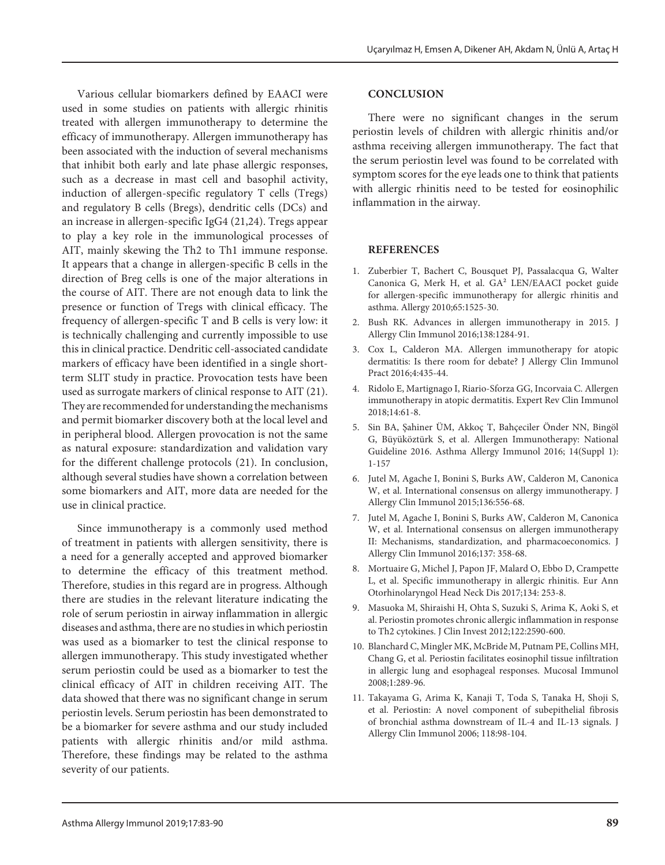Various cellular biomarkers defined by EAACI were used in some studies on patients with allergic rhinitis treated with allergen immunotherapy to determine the efficacy of immunotherapy. Allergen immunotherapy has been associated with the induction of several mechanisms that inhibit both early and late phase allergic responses, such as a decrease in mast cell and basophil activity, induction of allergen-specific regulatory T cells (Tregs) and regulatory B cells (Bregs), dendritic cells (DCs) and an increase in allergen-specific IgG4 (21,24). Tregs appear to play a key role in the immunological processes of AIT, mainly skewing the Th2 to Th1 immune response. It appears that a change in allergen-specific B cells in the direction of Breg cells is one of the major alterations in the course of AIT. There are not enough data to link the presence or function of Tregs with clinical efficacy. The frequency of allergen-specific T and B cells is very low: it is technically challenging and currently impossible to use this in clinical practice. Dendritic cell-associated candidate markers of efficacy have been identified in a single shortterm SLIT study in practice. Provocation tests have been used as surrogate markers of clinical response to AIT (21). They are recommended for understanding the mechanisms and permit biomarker discovery both at the local level and in peripheral blood. Allergen provocation is not the same as natural exposure: standardization and validation vary for the different challenge protocols (21). In conclusion, although several studies have shown a correlation between some biomarkers and AIT, more data are needed for the use in clinical practice.

Since immunotherapy is a commonly used method of treatment in patients with allergen sensitivity, there is a need for a generally accepted and approved biomarker to determine the efficacy of this treatment method. Therefore, studies in this regard are in progress. Although there are studies in the relevant literature indicating the role of serum periostin in airway inflammation in allergic diseases and asthma, there are no studies in which periostin was used as a biomarker to test the clinical response to allergen immunotherapy. This study investigated whether serum periostin could be used as a biomarker to test the clinical efficacy of AIT in children receiving AIT. The data showed that there was no significant change in serum periostin levels. Serum periostin has been demonstrated to be a biomarker for severe asthma and our study included patients with allergic rhinitis and/or mild asthma. Therefore, these findings may be related to the asthma severity of our patients.

#### **CONCLUSION**

There were no significant changes in the serum periostin levels of children with allergic rhinitis and/or asthma receiving allergen immunotherapy. The fact that the serum periostin level was found to be correlated with symptom scores for the eye leads one to think that patients with allergic rhinitis need to be tested for eosinophilic inflammation in the airway.

#### **REFERENCES**

- 1. Zuberbier T, Bachert C, Bousquet PJ, Passalacqua G, Walter Canonica G, Merk H, et al. GA² LEN/EAACI pocket guide for allergen-specific immunotherapy for allergic rhinitis and asthma. Allergy 2010;65:1525-30.
- 2. Bush RK. Advances in allergen immunotherapy in 2015. J Allergy Clin Immunol 2016;138:1284-91.
- 3. Cox L, Calderon MA. Allergen immunotherapy for atopic dermatitis: Is there room for debate? J Allergy Clin Immunol Pract 2016;4:435-44.
- 4. [Ridolo E](https://www.ncbi.nlm.nih.gov/pubmed/?term=Ridolo%20E%5BAuthor%5D&cauthor=true&cauthor_uid=29110542), [Martignago I,](https://www.ncbi.nlm.nih.gov/pubmed/?term=Martignago%20I%5BAuthor%5D&cauthor=true&cauthor_uid=29110542) [Riario-Sforza GG](https://www.ncbi.nlm.nih.gov/pubmed/?term=Riario-Sforza%20GG%5BAuthor%5D&cauthor=true&cauthor_uid=29110542), [Incorvaia C](https://www.ncbi.nlm.nih.gov/pubmed/?term=Incorvaia%20C%5BAuthor%5D&cauthor=true&cauthor_uid=29110542). Allergen immunotherapy in atopic dermatitis. [Expert Rev Clin Immunol](https://www.ncbi.nlm.nih.gov/pubmed/29110542) 2018;14:61-8.
- 5. Sin BA, Şahiner ÜM, Akkoç T, Bahçeciler Önder NN, Bingöl G, Büyüköztürk S, et al. Allergen Immunotherapy: National Guideline 2016. Asthma Allergy Immunol 2016; 14(Suppl 1): 1-157
- 6. Jutel M, Agache I, Bonini S, Burks AW, Calderon M, Canonica W, et al. International consensus on allergy immunotherapy. J Allergy Clin Immunol 2015;136:556-68.
- 7. Jutel M, Agache I, Bonini S, Burks AW, Calderon M, Canonica W, et al. International consensus on allergen immunotherapy II: Mechanisms, standardization, and pharmacoeconomics. J Allergy Clin Immunol 2016;137: 358-68.
- 8. Mortuaire G, Michel J, Papon JF, Malard O, Ebbo D, Crampette L, et al. Specific immunotherapy in allergic rhinitis. Eur Ann Otorhinolaryngol Head Neck Dis 2017;134: 253-8.
- 9. Masuoka M, Shiraishi H, Ohta S, Suzuki S, Arima K, Aoki S, et al. Periostin promotes chronic allergic inflammation in response to Th2 cytokines. J Clin Invest 2012;122:2590-600.
- 10. Blanchard C, Mingler MK, McBride M, Putnam PE, Collins MH, Chang G, et al. Periostin facilitates eosinophil tissue infiltration in allergic lung and esophageal responses. Mucosal Immunol 2008;1:289-96.
- 11. Takayama G, Arima K, Kanaji T, Toda S, Tanaka H, Shoji S, et al. Periostin: A novel component of subepithelial fibrosis of bronchial asthma downstream of IL-4 and IL-13 signals. J Allergy Clin Immunol 2006; 118:98-104.